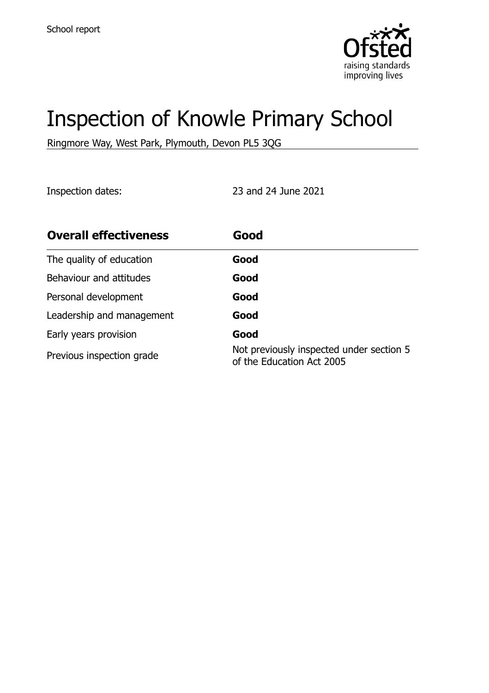

# Inspection of Knowle Primary School

Ringmore Way, West Park, Plymouth, Devon PL5 3QG

Inspection dates: 23 and 24 June 2021

| <b>Overall effectiveness</b> | Good                                                                  |
|------------------------------|-----------------------------------------------------------------------|
| The quality of education     | Good                                                                  |
| Behaviour and attitudes      | Good                                                                  |
| Personal development         | Good                                                                  |
| Leadership and management    | Good                                                                  |
| Early years provision        | Good                                                                  |
| Previous inspection grade    | Not previously inspected under section 5<br>of the Education Act 2005 |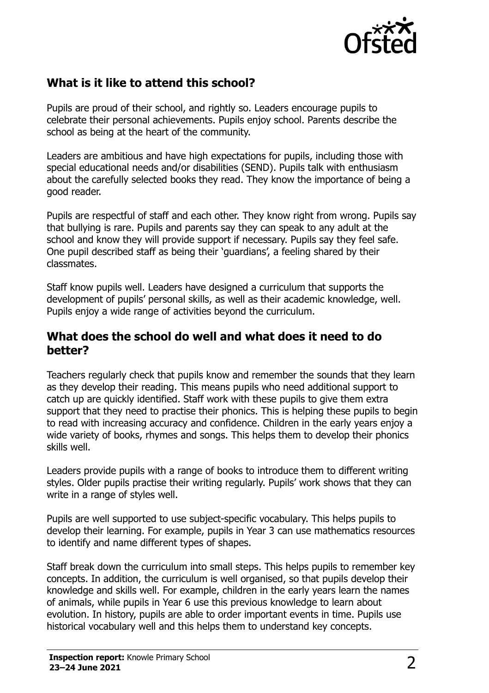

# **What is it like to attend this school?**

Pupils are proud of their school, and rightly so. Leaders encourage pupils to celebrate their personal achievements. Pupils enjoy school. Parents describe the school as being at the heart of the community.

Leaders are ambitious and have high expectations for pupils, including those with special educational needs and/or disabilities (SEND). Pupils talk with enthusiasm about the carefully selected books they read. They know the importance of being a good reader.

Pupils are respectful of staff and each other. They know right from wrong. Pupils say that bullying is rare. Pupils and parents say they can speak to any adult at the school and know they will provide support if necessary. Pupils say they feel safe. One pupil described staff as being their 'guardians', a feeling shared by their classmates.

Staff know pupils well. Leaders have designed a curriculum that supports the development of pupils' personal skills, as well as their academic knowledge, well. Pupils enjoy a wide range of activities beyond the curriculum.

#### **What does the school do well and what does it need to do better?**

Teachers regularly check that pupils know and remember the sounds that they learn as they develop their reading. This means pupils who need additional support to catch up are quickly identified. Staff work with these pupils to give them extra support that they need to practise their phonics. This is helping these pupils to begin to read with increasing accuracy and confidence. Children in the early years enjoy a wide variety of books, rhymes and songs. This helps them to develop their phonics skills well.

Leaders provide pupils with a range of books to introduce them to different writing styles. Older pupils practise their writing regularly. Pupils' work shows that they can write in a range of styles well.

Pupils are well supported to use subject-specific vocabulary. This helps pupils to develop their learning. For example, pupils in Year 3 can use mathematics resources to identify and name different types of shapes.

Staff break down the curriculum into small steps. This helps pupils to remember key concepts. In addition, the curriculum is well organised, so that pupils develop their knowledge and skills well. For example, children in the early years learn the names of animals, while pupils in Year 6 use this previous knowledge to learn about evolution. In history, pupils are able to order important events in time. Pupils use historical vocabulary well and this helps them to understand key concepts.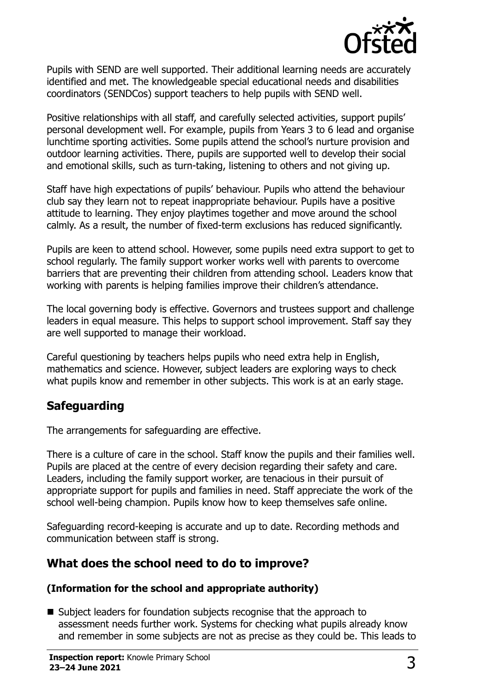

Pupils with SEND are well supported. Their additional learning needs are accurately identified and met. The knowledgeable special educational needs and disabilities coordinators (SENDCos) support teachers to help pupils with SEND well.

Positive relationships with all staff, and carefully selected activities, support pupils' personal development well. For example, pupils from Years 3 to 6 lead and organise lunchtime sporting activities. Some pupils attend the school's nurture provision and outdoor learning activities. There, pupils are supported well to develop their social and emotional skills, such as turn-taking, listening to others and not giving up.

Staff have high expectations of pupils' behaviour. Pupils who attend the behaviour club say they learn not to repeat inappropriate behaviour. Pupils have a positive attitude to learning. They enjoy playtimes together and move around the school calmly. As a result, the number of fixed-term exclusions has reduced significantly.

Pupils are keen to attend school. However, some pupils need extra support to get to school regularly. The family support worker works well with parents to overcome barriers that are preventing their children from attending school. Leaders know that working with parents is helping families improve their children's attendance.

The local governing body is effective. Governors and trustees support and challenge leaders in equal measure. This helps to support school improvement. Staff say they are well supported to manage their workload.

Careful questioning by teachers helps pupils who need extra help in English, mathematics and science. However, subject leaders are exploring ways to check what pupils know and remember in other subjects. This work is at an early stage.

# **Safeguarding**

The arrangements for safeguarding are effective.

There is a culture of care in the school. Staff know the pupils and their families well. Pupils are placed at the centre of every decision regarding their safety and care. Leaders, including the family support worker, are tenacious in their pursuit of appropriate support for pupils and families in need. Staff appreciate the work of the school well-being champion. Pupils know how to keep themselves safe online.

Safeguarding record-keeping is accurate and up to date. Recording methods and communication between staff is strong.

# **What does the school need to do to improve?**

#### **(Information for the school and appropriate authority)**

■ Subject leaders for foundation subjects recognise that the approach to assessment needs further work. Systems for checking what pupils already know and remember in some subjects are not as precise as they could be. This leads to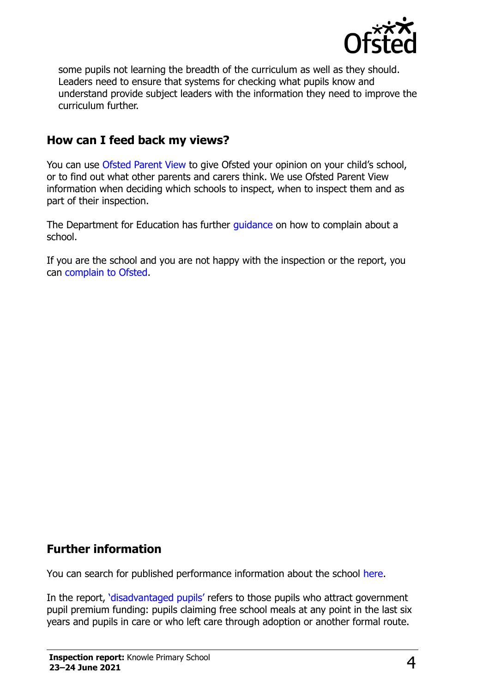

some pupils not learning the breadth of the curriculum as well as they should. Leaders need to ensure that systems for checking what pupils know and understand provide subject leaders with the information they need to improve the curriculum further.

### **How can I feed back my views?**

You can use [Ofsted Parent View](http://parentview.ofsted.gov.uk/) to give Ofsted your opinion on your child's school, or to find out what other parents and carers think. We use Ofsted Parent View information when deciding which schools to inspect, when to inspect them and as part of their inspection.

The Department for Education has further [guidance](http://www.gov.uk/complain-about-school) on how to complain about a school.

If you are the school and you are not happy with the inspection or the report, you can [complain to Ofsted.](http://www.gov.uk/complain-ofsted-report)

#### **Further information**

You can search for published performance information about the school [here.](http://www.compare-school-performance.service.gov.uk/)

In the report, '[disadvantaged pupils](http://www.gov.uk/guidance/pupil-premium-information-for-schools-and-alternative-provision-settings)' refers to those pupils who attract government pupil premium funding: pupils claiming free school meals at any point in the last six years and pupils in care or who left care through adoption or another formal route.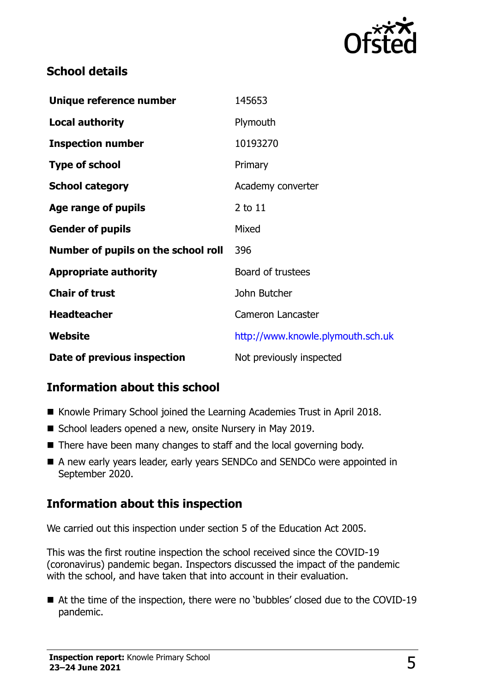

### **School details**

| Unique reference number             | 145653                            |
|-------------------------------------|-----------------------------------|
| <b>Local authority</b>              | Plymouth                          |
| <b>Inspection number</b>            | 10193270                          |
| <b>Type of school</b>               | Primary                           |
| <b>School category</b>              | Academy converter                 |
| Age range of pupils                 | 2 to 11                           |
| <b>Gender of pupils</b>             | Mixed                             |
| Number of pupils on the school roll | 396                               |
| <b>Appropriate authority</b>        | Board of trustees                 |
| <b>Chair of trust</b>               | John Butcher                      |
| <b>Headteacher</b>                  | <b>Cameron Lancaster</b>          |
| Website                             | http://www.knowle.plymouth.sch.uk |
| Date of previous inspection         | Not previously inspected          |

# **Information about this school**

- Knowle Primary School joined the Learning Academies Trust in April 2018.
- School leaders opened a new, onsite Nursery in May 2019.
- There have been many changes to staff and the local governing body.
- A new early years leader, early years SENDCo and SENDCo were appointed in September 2020.

#### **Information about this inspection**

We carried out this inspection under section 5 of the Education Act 2005.

This was the first routine inspection the school received since the COVID-19 (coronavirus) pandemic began. Inspectors discussed the impact of the pandemic with the school, and have taken that into account in their evaluation.

■ At the time of the inspection, there were no 'bubbles' closed due to the COVID-19 pandemic.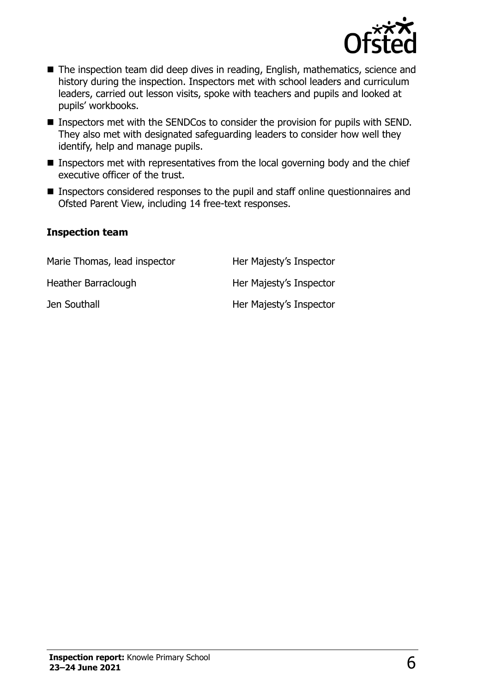

- The inspection team did deep dives in reading, English, mathematics, science and history during the inspection. Inspectors met with school leaders and curriculum leaders, carried out lesson visits, spoke with teachers and pupils and looked at pupils' workbooks.
- Inspectors met with the SENDCos to consider the provision for pupils with SEND. They also met with designated safeguarding leaders to consider how well they identify, help and manage pupils.
- **Inspectors met with representatives from the local governing body and the chief** executive officer of the trust.
- Inspectors considered responses to the pupil and staff online questionnaires and Ofsted Parent View, including 14 free-text responses.

#### **Inspection team**

| Marie Thomas, lead inspector | Her Majesty's Inspector |
|------------------------------|-------------------------|
| Heather Barraclough          | Her Majesty's Inspector |
| Jen Southall                 | Her Majesty's Inspector |